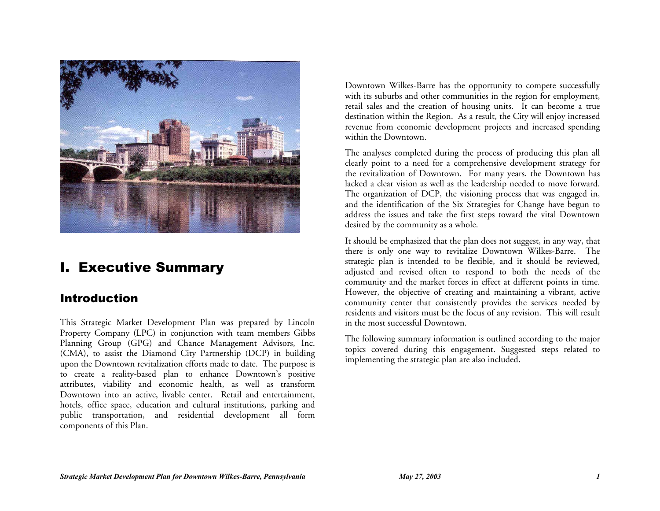

# I. Executive Summary

### Introduction

This Strategic Market Development Plan was prepared by Lincoln Property Company (LPC) in conjunction with team members Gibbs Planning Group (GPG) and Chance Management Advisors, Inc. (CMA), to assist the Diamond City Partnership (DCP) in building upon the Downtown revitalization efforts made to date. The purpose is to create a reality-based plan to enhance Downtown's positive attributes, viability and economic health, as well as transform Downtown into an active, livable center. Retail and entertainment, hotels, office space, education and cultural institutions, parking and public transportation, and residential development all form components of this Plan.

Downtown Wilkes-Barre has the opportunity to compete successfully with its suburbs and other communities in the region for employment, retail sales and the creation of housing units. It can become a true destination within the Region. As a result, the City will enjoy increased revenue from economic development projects and increased spending within the Downtown.

The analyses completed during the process of producing this plan all clearly point to a need for a comprehensive development strategy for the revitalization of Downtown. For many years, the Downtown has lacked a clear vision as well as the leadership needed to move forward. The organization of DCP, the visioning process that was engaged in, and the identification of the Six Strategies for Change have begun to address the issues and take the first steps toward the vital Downtown desired by the community as a whole.

It should be emphasized that the plan does not suggest, in any way, that there is only one way to revitalize Downtown Wilkes-Barre. The strategic plan is intended to be flexible, and it should be reviewed, adjusted and revised often to respond to both the needs of the community and the market forces in effect at different points in time. However, the objective of creating and maintaining a vibrant, active community center that consistently provides the services needed by residents and visitors must be the focus of any revision. This will result in the most successful Downtown.

The following summary information is outlined according to the major topics covered during this engagement. Suggested steps related to implementing the strategic plan are also included.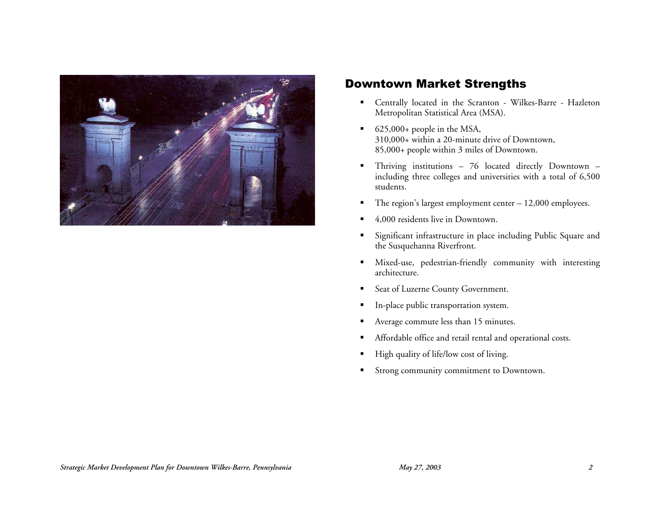

## Downtown Market Strengths

- Centrally located in the Scranton Wilkes-Barre Hazleton Metropolitan Statistical Area (MSA).
- $\bullet$  625,000+ people in the MSA, 310,000+ within a 20-minute drive of Downtown, 85,000+ people within 3 miles of Downtown.
- Thriving institutions 76 located directly Downtown including three colleges and universities with a total of 6,500 students.
- The region's largest employment center  $-12,000$  employees.
- 4,000 residents live in Downtown.
- Significant infrastructure in place including Public Square and the Susquehanna Riverfront.
- Mixed-use, pedestrian-friendly community with interesting architecture.
- **Seat of Luzerne County Government.**
- In-place public transportation system.
- Average commute less than 15 minutes.
- Affordable office and retail rental and operational costs.
- High quality of life/low cost of living.
- **Strong community commitment to Downtown.**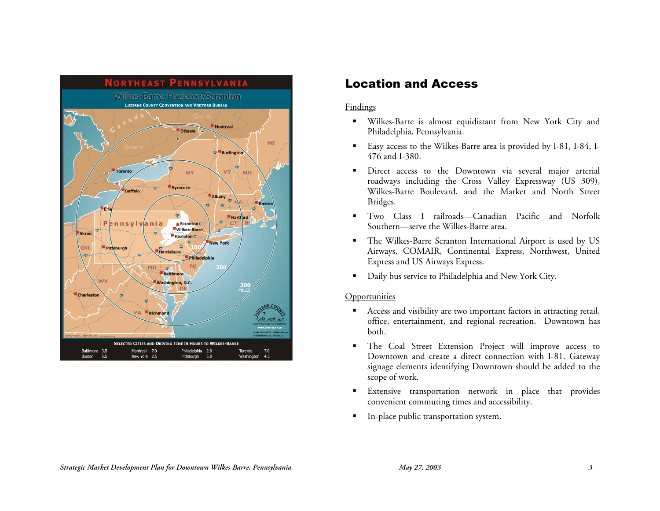

### Location and Access

### **Findings**

- Wilkes-Barre is almost equidistant from New York City and Philadelphia, Pennsylvania.
- Easy access to the Wilkes-Barre area is provided by I-81, I-84, I-476 and I-380.
- Direct access to the Downtown via several major arterial roadways including the Cross Valley Expressway (US 309), Wilkes-Barre Boulevard, and the Market and North Street Bridges.
- Two Class I railroads—Canadian Pacific and Norfolk Southern—serve the Wilkes-Barre area.
- The Wilkes-Barre Scranton International Airport is used by US Airways, COMAIR, Continental Express, Northwest, United Express and US Airways Express.
- Daily bus service to Philadelphia and New York City.

- Access and visibility are two important factors in attracting retail, office, entertainment, and regional recreation. Downtown has both.
- The Coal Street Extension Project will improve access to Downtown and create a direct connection with I-81. Gateway signage elements identifying Downtown should be added to the scope of work.
- **Extensive transportation network in place that provides** convenient commuting times and accessibility.
- **In-place public transportation system.**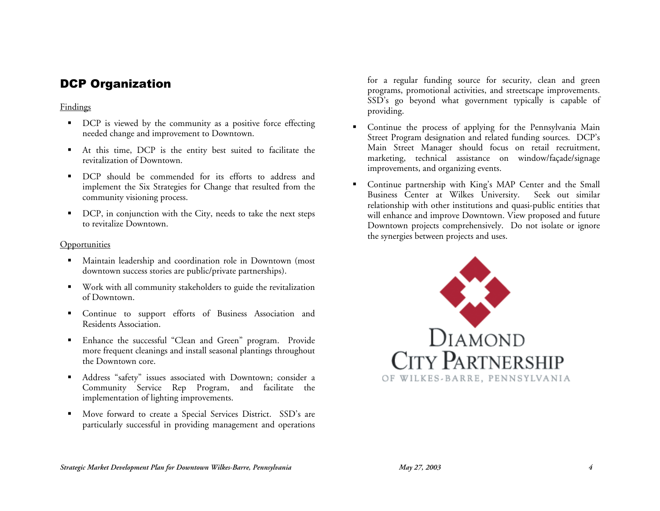# DCP Organization

### Findings

- DCP is viewed by the community as a positive force effecting needed change and improvement to Downtown.
- At this time, DCP is the entity best suited to facilitate the revitalization of Downtown.
- DCP should be commended for its efforts to address and implement the Six Strategies for Change that resulted from the community visioning process.
- DCP, in conjunction with the City, needs to take the next steps to revitalize Downtown.

### **Opportunities**

- Maintain leadership and coordination role in Downtown (most downtown success stories are public/private partnerships).
- Work with all community stakeholders to guide the revitalization of Downtown.
- Continue to support efforts of Business Association and Residents Association.
- Enhance the successful "Clean and Green" program. Provide more frequent cleanings and install seasonal plantings throughout the Downtown core.
- Address "safety" issues associated with Downtown; consider a Community Service Rep Program, and facilitate the implementation of lighting improvements.
- **Move forward to create a Special Services District.** SSD's are particularly successful in providing management and operations

for a regular funding source for security, clean and green programs, promotional activities, and streetscape improvements. SSD's go beyond what government typically is capable of providing.

- Continue the process of applying for the Pennsylvania Main Street Program designation and related funding sources. DCP's Main Street Manager should focus on retail recruitment, marketing, technical assistance on window/façade/signage improvements, and organizing events.
- Continue partnership with King's MAP Center and the Small Business Center at Wilkes University. Seek out similar relationship with other institutions and quasi-public entities that will enhance and improve Downtown. View proposed and future Downtown projects comprehensively. Do not isolate or ignore the synergies between projects and uses.

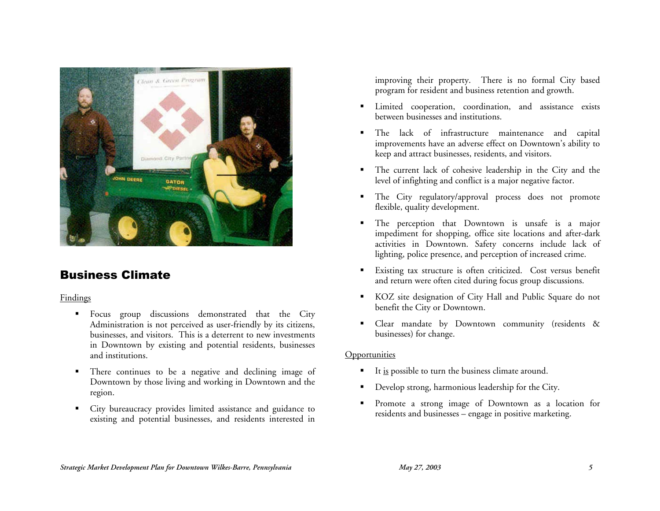

## Business Climate

### Findings

- **Focus** group discussions demonstrated that the City Administration is not perceived as user-friendly by its citizens, businesses, and visitors. This is a deterrent to new investments in Downtown by existing and potential residents, businesses and institutions.
- There continues to be a negative and declining image of Downtown by those living and working in Downtown and the region.
- City bureaucracy provides limited assistance and guidance to existing and potential businesses, and residents interested in

improving their property. There is no formal City based program for resident and business retention and growth.

- **Example 1** Limited cooperation, coordination, and assistance exists between businesses and institutions.
- The lack of infrastructure maintenance and capital improvements have an adverse effect on Downtown's ability to keep and attract businesses, residents, and visitors.
- The current lack of cohesive leadership in the City and the level of infighting and conflict is a major negative factor.
- The City regulatory/approval process does not promote flexible, quality development.
- **The perception that Downtown is unsafe is a major** impediment for shopping, office site locations and after-dark activities in Downtown. Safety concerns include lack of lighting, police presence, and perception of increased crime.
- Existing tax structure is often criticized. Cost versus benefit and return were often cited during focus group discussions.
- KOZ site designation of City Hall and Public Square do not benefit the City or Downtown.
- **Clear mandate by Downtown community (residents &** businesses) for change.

- It <u>is</u> possible to turn the business climate around.
- Develop strong, harmonious leadership for the City.
- Promote a strong image of Downtown as a location for residents and businesses – engage in positive marketing.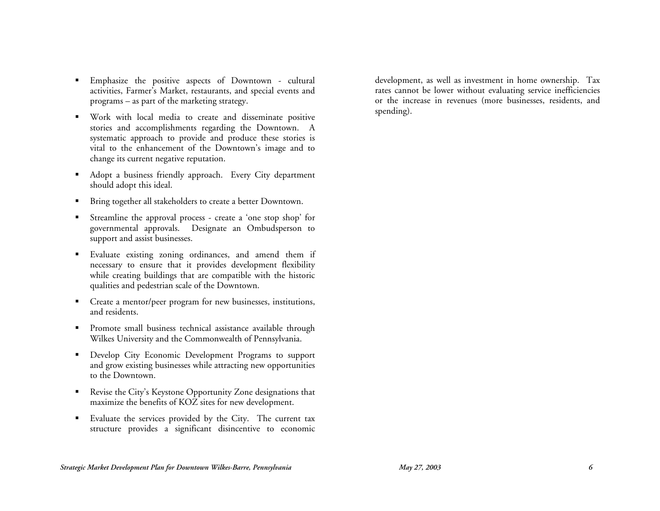- Emphasize the positive aspects of Downtown cultural activities, Farmer's Market, restaurants, and special events and programs – as part of the marketing strategy.
- Work with local media to create and disseminate positive stories and accomplishments regarding the Downtown. A systematic approach to provide and produce these stories is vital to the enhancement of the Downtown's image and to change its current negative reputation.
- Adopt a business friendly approach. Every City department should adopt this ideal.
- **Bring together all stakeholders to create a better Downtown.**
- Streamline the approval process create a 'one stop shop' for governmental approvals. Designate an Ombudsperson to support and assist businesses.
- Evaluate existing zoning ordinances, and amend them if necessary to ensure that it provides development flexibility while creating buildings that are compatible with the historic qualities and pedestrian scale of the Downtown.
- Create a mentor/peer program for new businesses, institutions, and residents.
- **Promote small business technical assistance available through** Wilkes University and the Commonwealth of Pennsylvania.
- **Develop City Economic Development Programs to support** and grow existing businesses while attracting new opportunities to the Downtown.
- Revise the City's Keystone Opportunity Zone designations that maximize the benefits of KOZ sites for new development.
- Evaluate the services provided by the City. The current tax structure provides a significant disincentive to economic

development, as well as investment in home ownership. Tax rates cannot be lower without evaluating service inefficiencies or the increase in revenues (more businesses, residents, and spending).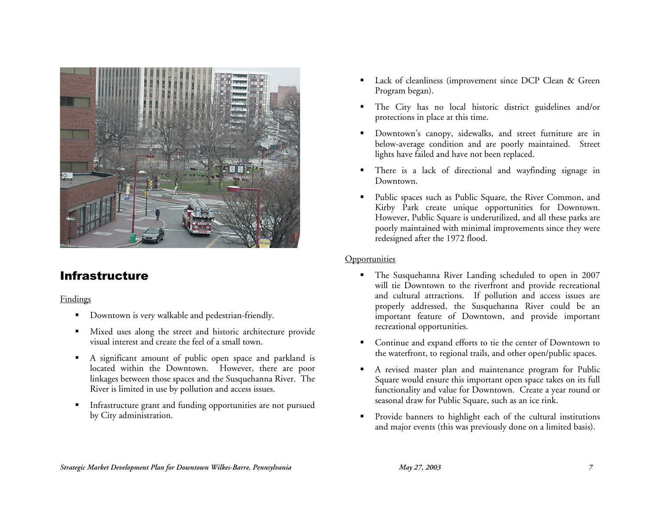

# Infrastructure

### Findings

- Downtown is very walkable and pedestrian-friendly.
- Mixed uses along the street and historic architecture provide visual interest and create the feel of a small town.
- A significant amount of public open space and parkland is located within the Downtown. However, there are poor linkages between those spaces and the Susquehanna River. The River is limited in use by pollution and access issues.
- **Infrastructure grant and funding opportunities are not pursued** by City administration.
- Lack of cleanliness (improvement since DCP Clean & Green Program began).
- The City has no local historic district guidelines and/or protections in place at this time.
- **Downtown's canopy, sidewalks, and street furniture are in** below-average condition and are poorly maintained. Street lights have failed and have not been replaced.
- There is a lack of directional and wayfinding signage in Downtown.
- Public spaces such as Public Square, the River Common, and Kirby Park create unique opportunities for Downtown. However, Public Square is underutilized, and all these parks are poorly maintained with minimal improvements since they were redesigned after the 1972 flood.

- The Susquehanna River Landing scheduled to open in 2007 will tie Downtown to the riverfront and provide recreational and cultural attractions. If pollution and access issues are properly addressed, the Susquehanna River could be an important feature of Downtown, and provide important recreational opportunities.
- Continue and expand efforts to tie the center of Downtown to the waterfront, to regional trails, and other open/public spaces.
- A revised master plan and maintenance program for Public Square would ensure this important open space takes on its full functionality and value for Downtown. Create a year round or seasonal draw for Public Square, such as an ice rink.
- **Provide banners to highlight each of the cultural institutions** and major events (this was previously done on a limited basis).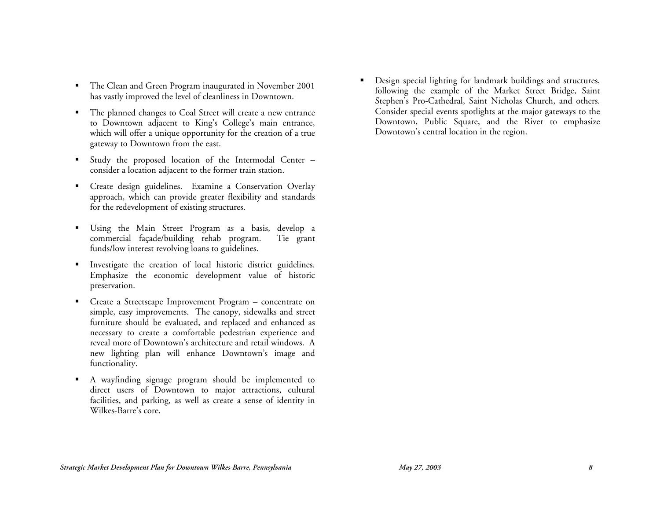- **The Clean and Green Program inaugurated in November 2001** has vastly improved the level of cleanliness in Downtown.
- The planned changes to Coal Street will create a new entrance to Downtown adjacent to King's College's main entrance, which will offer a unique opportunity for the creation of a true gateway to Downtown from the east.
- Study the proposed location of the Intermodal Center consider a location adjacent to the former train station.
- Create design guidelines. Examine a Conservation Overlay approach, which can provide greater flexibility and standards for the redevelopment of existing structures.
- Using the Main Street Program as a basis, develop a commercial façade/building rehab program. Tie grant funds/low interest revolving loans to guidelines.
- **Investigate the creation of local historic district guidelines.** Emphasize the economic development value of historic preservation.
- Create a Streetscape Improvement Program concentrate on simple, easy improvements. The canopy, sidewalks and street furniture should be evaluated, and replaced and enhanced as necessary to create a comfortable pedestrian experience and reveal more of Downtown's architecture and retail windows. A new lighting plan will enhance Downtown's image and functionality.
- A wayfinding signage program should be implemented to direct users of Downtown to major attractions, cultural facilities, and parking, as well as create a sense of identity in Wilkes-Barre's core.

 Design special lighting for landmark buildings and structures, following the example of the Market Street Bridge, Saint Stephen's Pro-Cathedral, Saint Nicholas Church, and others. Consider special events spotlights at the major gateways to the Downtown, Public Square, and the River to emphasize Downtown's central location in the region.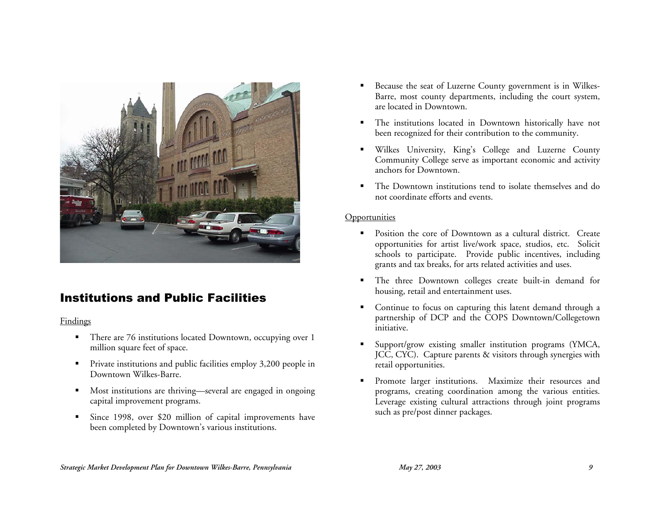

## Institutions and Public Facilities

### **Findings**

- **There are 76 institutions located Downtown, occupying over 1** million square feet of space.
- **Private institutions and public facilities employ 3,200 people in** Downtown Wilkes-Barre.
- Most institutions are thriving—several are engaged in ongoing capital improvement programs.
- Since 1998, over \$20 million of capital improvements have been completed by Downtown's various institutions.
- Because the seat of Luzerne County government is in Wilkes-Barre, most county departments, including the court system, are located in Downtown.
- The institutions located in Downtown historically have not been recognized for their contribution to the community.
- Wilkes University, King's College and Luzerne County Community College serve as important economic and activity anchors for Downtown.
- The Downtown institutions tend to isolate themselves and do not coordinate efforts and events.

- **Position the core of Downtown as a cultural district.** Create opportunities for artist live/work space, studios, etc. Solicit schools to participate. Provide public incentives, including grants and tax breaks, for arts related activities and uses.
- The three Downtown colleges create built-in demand for housing, retail and entertainment uses.
- Continue to focus on capturing this latent demand through a partnership of DCP and the COPS Downtown/Collegetown initiative.
- Support/grow existing smaller institution programs (YMCA, JCC, CYC). Capture parents & visitors through synergies with retail opportunities.
- Promote larger institutions. Maximize their resources and programs, creating coordination among the various entities. Leverage existing cultural attractions through joint programs such as pre/post dinner packages.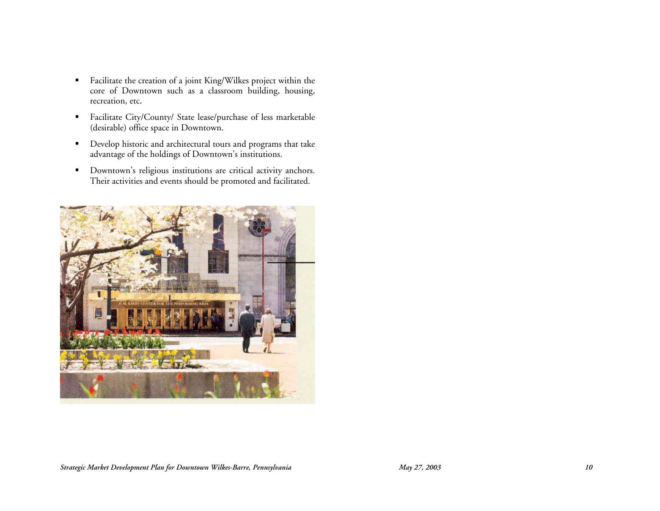- Facilitate the creation of a joint King/Wilkes project within the core of Downtown such as a classroom building, housing, recreation, etc.
- Facilitate City/County/ State lease/purchase of less marketable (desirable) office space in Downtown.
- Develop historic and architectural tours and programs that take advantage of the holdings of Downtown's institutions.
- Downtown's religious institutions are critical activity anchors. Their activities and events should be promoted and facilitated.

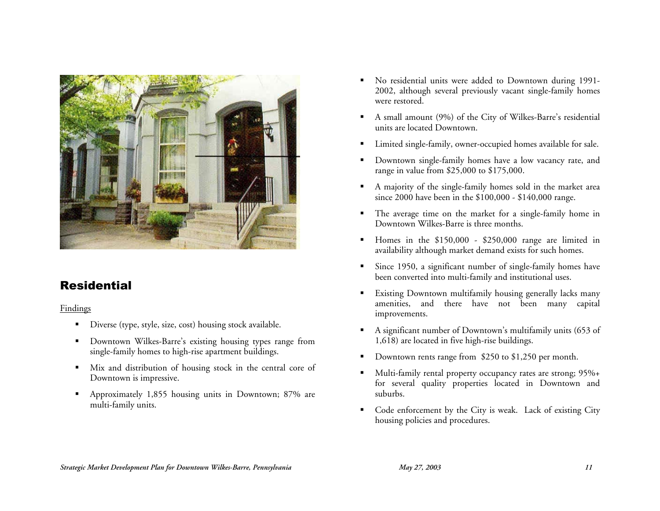

# **Residential**

**Findings** 

- Diverse (type, style, size, cost) housing stock available.
- **Downtown Wilkes-Barre's existing housing types range from** single-family homes to high-rise apartment buildings.
- Mix and distribution of housing stock in the central core of Downtown is impressive.
- Approximately 1,855 housing units in Downtown; 87% are multi-family units.
- No residential units were added to Downtown during 1991- 2002, although several previously vacant single-family homes were restored.
- A small amount (9%) of the City of Wilkes-Barre's residential units are located Downtown.
- Limited single-family, owner-occupied homes available for sale.
- Downtown single-family homes have a low vacancy rate, and range in value from \$25,000 to \$175,000.
- A majority of the single-family homes sold in the market area since 2000 have been in the \$100,000 - \$140,000 range.
- The average time on the market for a single-family home in Downtown Wilkes-Barre is three months.
- Homes in the \$150,000 \$250,000 range are limited in availability although market demand exists for such homes.
- Since 1950, a significant number of single-family homes have been converted into multi-family and institutional uses.
- **Existing Downtown multifamily housing generally lacks many** amenities, and there have not been many capital improvements.
- A significant number of Downtown's multifamily units (653 of 1,618) are located in five high-rise buildings.
- Downtown rents range from \$250 to \$1,250 per month.
- Multi-family rental property occupancy rates are strong; 95%+ for several quality properties located in Downtown and suburbs.
- Code enforcement by the City is weak. Lack of existing City housing policies and procedures.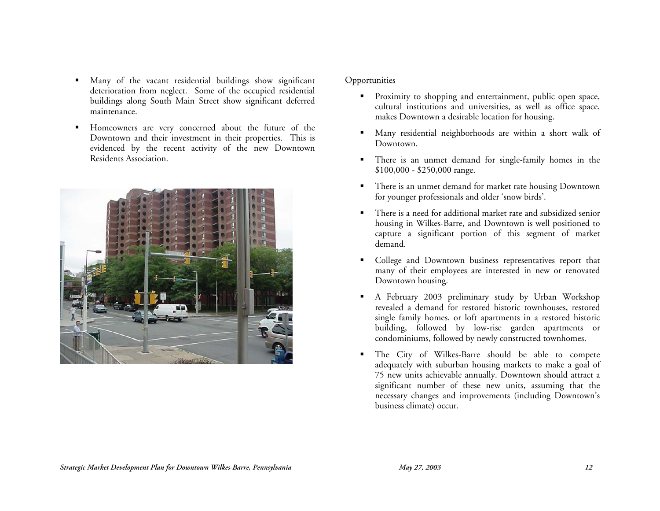- Many of the vacant residential buildings show significant deterioration from neglect. Some of the occupied residential buildings along South Main Street show significant deferred maintenance.
- Homeowners are very concerned about the future of the Downtown and their investment in their properties. This is evidenced by the recent activity of the new Downtown Residents Association.



- **Proximity to shopping and entertainment, public open space,** cultural institutions and universities, as well as office space, makes Downtown a desirable location for housing.
- Many residential neighborhoods are within a short walk of Downtown.
- There is an unmet demand for single-family homes in the \$100,000 - \$250,000 range.
- **There is an unmet demand for market rate housing Downtown** for younger professionals and older 'snow birds'.
- There is a need for additional market rate and subsidized senior housing in Wilkes-Barre, and Downtown is well positioned to capture a significant portion of this segment of market demand.
- College and Downtown business representatives report that many of their employees are interested in new or renovated Downtown housing.
- A February 2003 preliminary study by Urban Workshop revealed a demand for restored historic townhouses, restored single family homes, or loft apartments in a restored historic building, followed by low-rise garden apartments or condominiums, followed by newly constructed townhomes.
- The City of Wilkes-Barre should be able to compete adequately with suburban housing markets to make a goal of 75 new units achievable annually. Downtown should attract a significant number of these new units, assuming that the necessary changes and improvements (including Downtown's business climate) occur.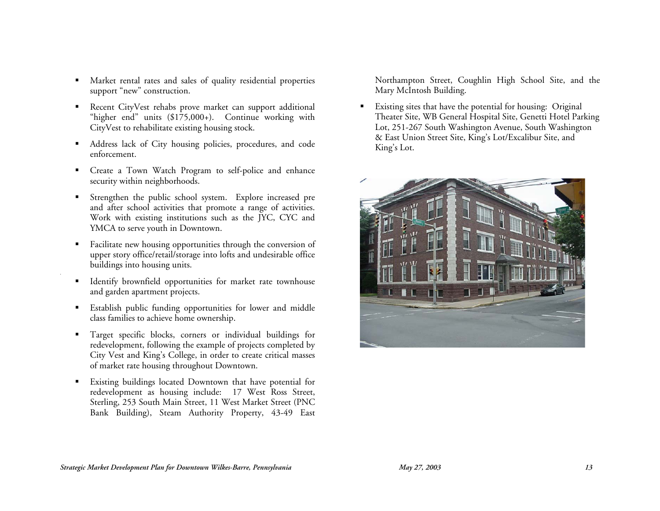- Market rental rates and sales of quality residential properties support "new" construction.
- **Recent CityVest rehabs prove market can support additional** "higher end" units (\$175,000+). Continue working with CityVest to rehabilitate existing housing stock.
- Address lack of City housing policies, procedures, and code enforcement.
- Create a Town Watch Program to self-police and enhance security within neighborhoods.
- Strengthen the public school system. Explore increased pre and after school activities that promote a range of activities. Work with existing institutions such as the JYC, CYC and YMCA to serve youth in Downtown.
- **Facilitate new housing opportunities through the conversion of** upper story office/retail/storage into lofts and undesirable office buildings into housing units.
- **IDENTIFY I** Identify brownfield opportunities for market rate townhouse and garden apartment projects.
- Establish public funding opportunities for lower and middle class families to achieve home ownership.
- Target specific blocks, corners or individual buildings for redevelopment, following the example of projects completed by City Vest and King's College, in order to create critical masses of market rate housing throughout Downtown.
- Existing buildings located Downtown that have potential for redevelopment as housing include: 17 West Ross Street, Sterling, 253 South Main Street, 11 West Market Street (PNC Bank Building), Steam Authority Property, 43-49 East

Northampton Street, Coughlin High School Site, and the Mary McIntosh Building.

 Existing sites that have the potential for housing: Original Theater Site, WB General Hospital Site, Genetti Hotel Parking Lot, 251-267 South Washington Avenue, South Washington & East Union Street Site, King's Lot/Excalibur Site, and King's Lot.

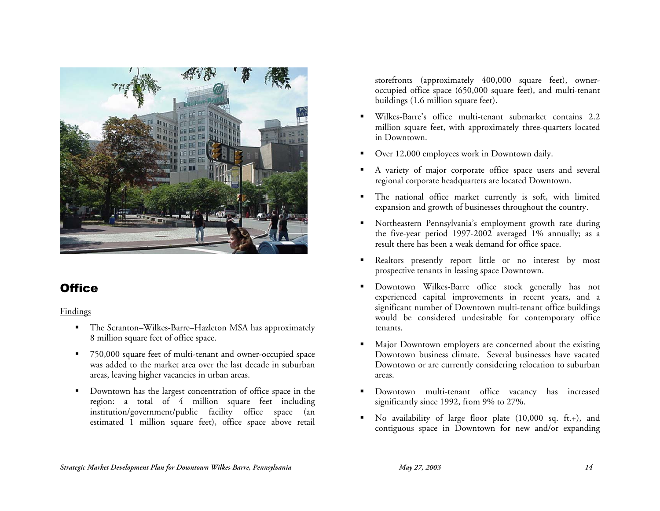

# **Office**

### Findings

- The Scranton–Wilkes-Barre–Hazleton MSA has approximately 8 million square feet of office space.
- 750,000 square feet of multi-tenant and owner-occupied space was added to the market area over the last decade in suburban areas, leaving higher vacancies in urban areas.
- Downtown has the largest concentration of office space in the region: a total of 4 million square feet including institution/government/public facility office space (an estimated 1 million square feet), office space above retail

storefronts (approximately 400,000 square feet), owneroccupied office space (650,000 square feet), and multi-tenant buildings (1.6 million square feet).

- Wilkes-Barre's office multi-tenant submarket contains 2.2 million square feet, with approximately three-quarters located in Downtown.
- Over 12,000 employees work in Downtown daily.
- A variety of major corporate office space users and several regional corporate headquarters are located Downtown.
- The national office market currently is soft, with limited expansion and growth of businesses throughout the country.
- Northeastern Pennsylvania's employment growth rate during the five-year period 1997-2002 averaged 1% annually; as a result there has been a weak demand for office space.
- Realtors presently report little or no interest by most prospective tenants in leasing space Downtown.
- Downtown Wilkes-Barre office stock generally has not experienced capital improvements in recent years, and a significant number of Downtown multi-tenant office buildings would be considered undesirable for contemporary office tenants.
- Major Downtown employers are concerned about the existing Downtown business climate. Several businesses have vacated Downtown or are currently considering relocation to suburban areas.
- Downtown multi-tenant office vacancy has increased significantly since 1992, from 9% to 27%.
- No availability of large floor plate (10,000 sq. ft.+), and contiguous space in Downtown for new and/or expanding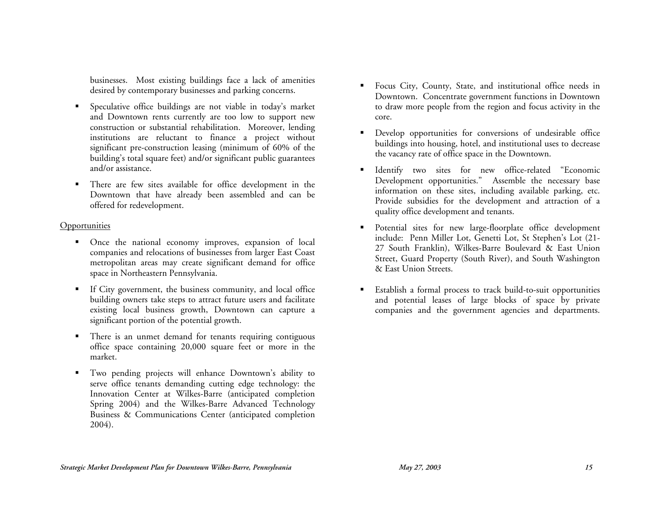businesses. Most existing buildings face a lack of amenities desired by contemporary businesses and parking concerns.

- Speculative office buildings are not viable in today's market and Downtown rents currently are too low to support new construction or substantial rehabilitation. Moreover, lending institutions are reluctant to finance a project without significant pre-construction leasing (minimum of 60% of the building's total square feet) and/or significant public guarantees and/or assistance.
- There are few sites available for office development in the Downtown that have already been assembled and can be offered for redevelopment.

- Once the national economy improves, expansion of local companies and relocations of businesses from larger East Coast metropolitan areas may create significant demand for office space in Northeastern Pennsylvania.
- If City government, the business community, and local office building owners take steps to attract future users and facilitate existing local business growth, Downtown can capture a significant portion of the potential growth.
- **There is an unmet demand for tenants requiring contiguous** office space containing 20,000 square feet or more in the market.
- Two pending projects will enhance Downtown's ability to serve office tenants demanding cutting edge technology: the Innovation Center at Wilkes-Barre (anticipated completion Spring 2004) and the Wilkes-Barre Advanced Technology Business & Communications Center (anticipated completion 2004).
- Focus City, County, State, and institutional office needs in Downtown. Concentrate government functions in Downtown to draw more people from the region and focus activity in the core.
- Develop opportunities for conversions of undesirable office buildings into housing, hotel, and institutional uses to decrease the vacancy rate of office space in the Downtown.
- Identify two sites for new office-related "Economic Development opportunities." Assemble the necessary base information on these sites, including available parking, etc. Provide subsidies for the development and attraction of a quality office development and tenants.
- Potential sites for new large-floorplate office development include: Penn Miller Lot, Genetti Lot, St Stephen's Lot (21- 27 South Franklin), Wilkes-Barre Boulevard & East Union Street, Guard Property (South River), and South Washington & East Union Streets.
- Establish a formal process to track build-to-suit opportunities and potential leases of large blocks of space by private companies and the government agencies and departments.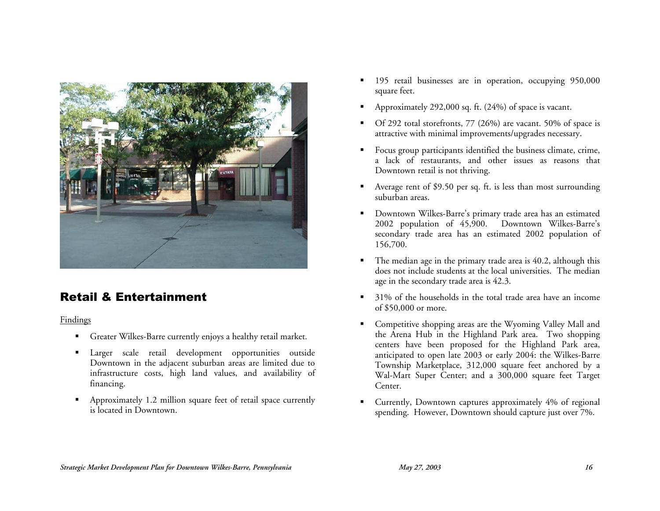

# Retail & Entertainment

Findings

- Greater Wilkes-Barre currently enjoys a healthy retail market.
- **Larger** scale retail development opportunities outside Downtown in the adjacent suburban areas are limited due to infrastructure costs, high land values, and availability of financing.
- Approximately 1.2 million square feet of retail space currently is located in Downtown.
- **195** retail businesses are in operation, occupying 950,000 square feet.
- Approximately 292,000 sq. ft. (24%) of space is vacant.
- Of 292 total storefronts, 77 (26%) are vacant. 50% of space is attractive with minimal improvements/upgrades necessary.
- Focus group participants identified the business climate, crime, a lack of restaurants, and other issues as reasons that Downtown retail is not thriving.
- Average rent of \$9.50 per sq. ft. is less than most surrounding suburban areas.
- Downtown Wilkes-Barre's primary trade area has an estimated 2002 population of 45,900. Downtown Wilkes-Barre's secondary trade area has an estimated 2002 population of 156,700.
- The median age in the primary trade area is 40.2, although this does not include students at the local universities. The median age in the secondary trade area is 42.3.
- 31% of the households in the total trade area have an income of \$50,000 or more.
- Competitive shopping areas are the Wyoming Valley Mall and the Arena Hub in the Highland Park area. Two shopping centers have been proposed for the Highland Park area, anticipated to open late 2003 or early 2004: the Wilkes-Barre Township Marketplace, 312,000 square feet anchored by a Wal-Mart Super Center; and a 300,000 square feet Target Center.
- Currently, Downtown captures approximately 4% of regional spending. However, Downtown should capture just over 7%.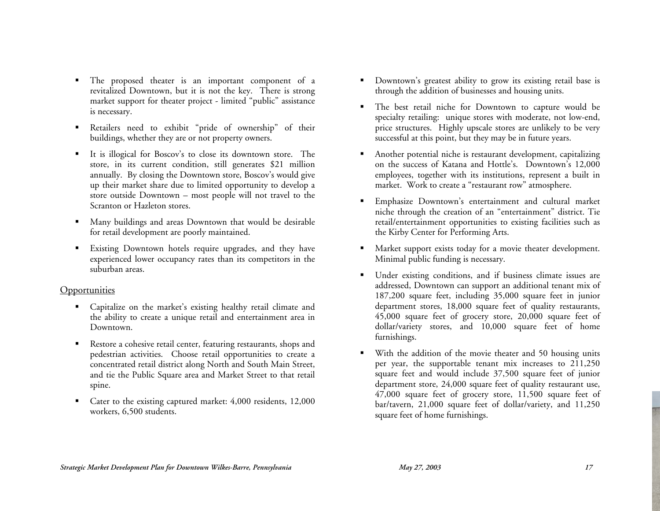- The proposed theater is an important component of a revitalized Downtown, but it is not the key. There is strong market support for theater project - limited "public" assistance is necessary.
- Retailers need to exhibit "pride of ownership" of their buildings, whether they are or not property owners.
- It is illogical for Boscov's to close its downtown store. The store, in its current condition, still generates \$21 million annually. By closing the Downtown store, Boscov's would give up their market share due to limited opportunity to develop a store outside Downtown – most people will not travel to the Scranton or Hazleton stores.
- Many buildings and areas Downtown that would be desirable for retail development are poorly maintained.
- Existing Downtown hotels require upgrades, and they have experienced lower occupancy rates than its competitors in the suburban areas.

- Capitalize on the market's existing healthy retail climate and the ability to create a unique retail and entertainment area in Downtown.
- Restore a cohesive retail center, featuring restaurants, shops and pedestrian activities. Choose retail opportunities to create a concentrated retail district along North and South Main Street, and tie the Public Square area and Market Street to that retail spine.
- Cater to the existing captured market: 4,000 residents, 12,000 workers, 6,500 students.
- Downtown's greatest ability to grow its existing retail base is through the addition of businesses and housing units.
- The best retail niche for Downtown to capture would be specialty retailing: unique stores with moderate, not low-end, price structures. Highly upscale stores are unlikely to be very successful at this point, but they may be in future years.
- Another potential niche is restaurant development, capitalizing on the success of Katana and Hottle's. Downtown's 12,000 employees, together with its institutions, represent a built in market. Work to create a "restaurant row" atmosphere.
- Emphasize Downtown's entertainment and cultural market niche through the creation of an "entertainment" district. Tie retail/entertainment opportunities to existing facilities such as the Kirby Center for Performing Arts.
- **Market support exists today for a movie theater development.** Minimal public funding is necessary.
- Under existing conditions, and if business climate issues are addressed, Downtown can support an additional tenant mix of 187,200 square feet, including 35,000 square feet in junior department stores, 18,000 square feet of quality restaurants, 45,000 square feet of grocery store, 20,000 square feet of dollar/variety stores, and 10,000 square feet of home furnishings.
- With the addition of the movie theater and 50 housing units per year, the supportable tenant mix increases to 211,250 square feet and would include 37,500 square feet of junior department store, 24,000 square feet of quality restaurant use, 47,000 square feet of grocery store, 11,500 square feet of bar/tavern, 21,000 square feet of dollar/variety, and 11,250 square feet of home furnishings.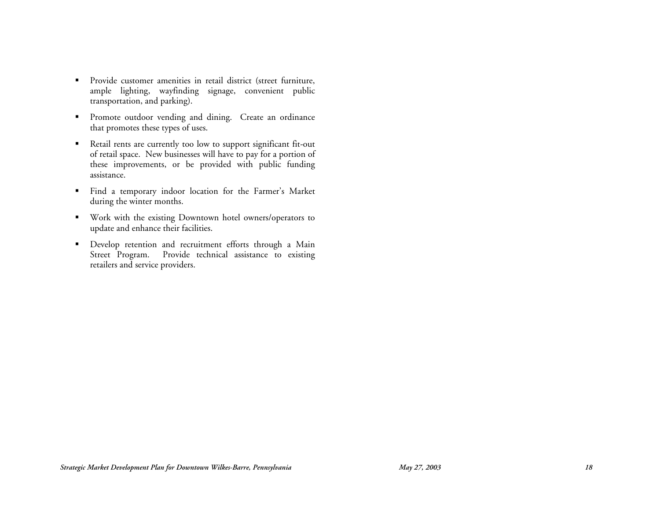- Provide customer amenities in retail district (street furniture, ample lighting, wayfinding signage, convenient public transportation, and parking).
- **Promote outdoor vending and dining.** Create an ordinance that promotes these types of uses.
- Retail rents are currently too low to support significant fit-out of retail space. New businesses will have to pay for a portion of these improvements, or be provided with public funding assistance.
- Find a temporary indoor location for the Farmer's Market during the winter months.
- Work with the existing Downtown hotel owners/operators to update and enhance their facilities.
- **•** Develop retention and recruitment efforts through a Main Street Program. Provide technical assistance to existing retailers and service providers.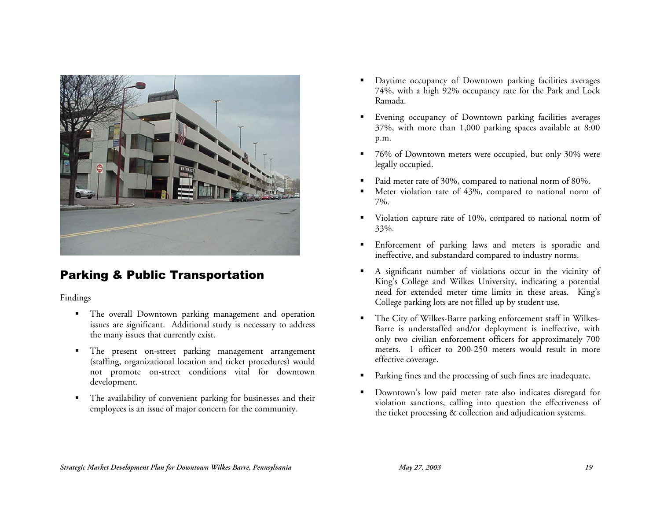

# Parking & Public Transportation

### Findings

- **The overall Downtown parking management and operation** issues are significant. Additional study is necessary to address the many issues that currently exist.
- **The present on-street parking management arrangement** (staffing, organizational location and ticket procedures) would not promote on-street conditions vital for downtown development.
- The availability of convenient parking for businesses and their employees is an issue of major concern for the community.
- Daytime occupancy of Downtown parking facilities averages 74%, with a high 92% occupancy rate for the Park and Lock Ramada.
- Evening occupancy of Downtown parking facilities averages 37%, with more than 1,000 parking spaces available at 8:00 p.m.
- 76% of Downtown meters were occupied, but only 30% were legally occupied.
- Paid meter rate of 30%, compared to national norm of 80%.
- Meter violation rate of 43%, compared to national norm of 7%.
- Violation capture rate of 10%, compared to national norm of 33%.
- **Enforcement of parking laws and meters is sporadic and** ineffective, and substandard compared to industry norms.
- A significant number of violations occur in the vicinity of King's College and Wilkes University, indicating a potential need for extended meter time limits in these areas. King's College parking lots are not filled up by student use.
- The City of Wilkes-Barre parking enforcement staff in Wilkes-Barre is understaffed and/or deployment is ineffective, with only two civilian enforcement officers for approximately 700 meters. 1 officer to 200-250 meters would result in more effective coverage.
- Parking fines and the processing of such fines are inadequate.
- Downtown's low paid meter rate also indicates disregard for violation sanctions, calling into question the effectiveness of the ticket processing & collection and adjudication systems.